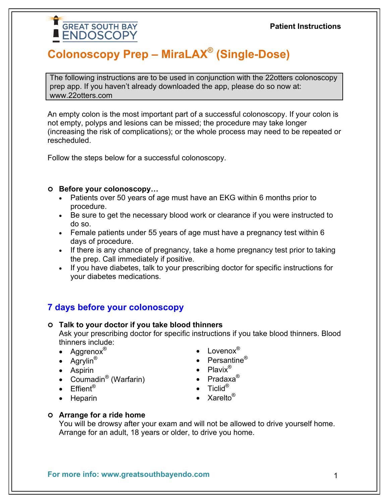# **Colonoscopy Prep – MiraLAX® (Single-Dose)**

The following instructions are to be used in conjunction with the 22otters colonoscopy prep app. If you haven't already downloaded the app, please do so now at: www.22otters.com

An empty colon is the most important part of a successful colonoscopy. If your colon is not empty, polyps and lesions can be missed; the procedure may take longer (increasing the risk of complications); or the whole process may need to be repeated or rescheduled.

Follow the steps below for a successful colonoscopy.

#### **Before your colonoscopy…**

**GREAT SOUTH BAY ENDOSCOPY** 

- Patients over 50 years of age must have an EKG within 6 months prior to procedure.
- Be sure to get the necessary blood work or clearance if you were instructed to do so.
- Female patients under 55 years of age must have a pregnancy test within 6 days of procedure.
- If there is any chance of pregnancy, take a home pregnancy test prior to taking the prep. Call immediately if positive.
- If you have diabetes, talk to your prescribing doctor for specific instructions for your diabetes medications.

# **7 days before your colonoscopy**

- **Talk to your doctor if you take blood thinners** Ask your prescribing doctor for specific instructions if you take blood thinners. Blood thinners include:
	- Aggrenox<sup>®</sup>
	- Agrylin<sup>®</sup>
	- Aspirin
	- Coumadin<sup>®</sup> (Warfarin)
	- Effient<sup>®</sup>
	- Heparin
- Lovenox®
- Persantine<sup>®</sup>
- Plavix<sup>®</sup>
- Pradaxa<sup>®</sup>
- $\bullet$  Ticlid®
- Xarelto<sup>®</sup>

#### **Arrange for a ride home**

You will be drowsy after your exam and will not be allowed to drive yourself home. Arrange for an adult, 18 years or older, to drive you home.

**For more info: www.greatsouthbayendo.com**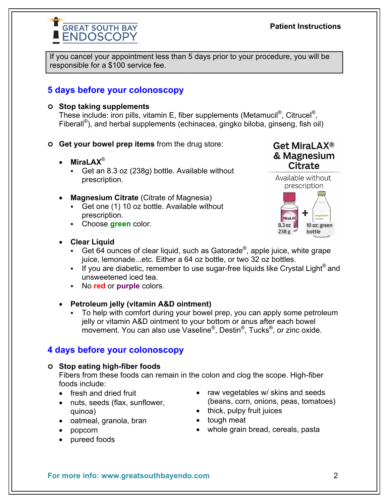# **Patient Instructions**

If you cancel your appointment less than 5 days prior to your procedure, you will be responsible for a \$100 service fee.

# **5 days before your colonoscopy**

### **Stop taking supplements**

These include: iron pills, vitamin E, fiber supplements (Metamucil<sup>®</sup>, Citrucel<sup>®</sup>, Fiberall<sup>®</sup>), and herbal supplements (echinacea, gingko biloba, ginseng, fish oil)

- **Get your bowel prep items** from the drug store:
	- **MiraLAX**®
		- Get an 8.3 oz (238g) bottle. Available without prescription.
	- **Magnesium Citrate** (Citrate of Magnesia)
		- Get one (1) 10 oz bottle. Available without prescription.
		- Choose **green** color.

### **Clear Liquid**

- Get 64 ounces of clear liquid, such as Gatorade<sup>®</sup>, apple juice, white grape juice, lemonade...etc. Either a 64 oz bottle, or two 32 oz bottles.
- If you are diabetic, remember to use sugar-free liquids like Crystal Light<sup>®</sup> and unsweetened iced tea.
- No **red** or **purple** colors.

# **Petroleum jelly (vitamin A&D ointment)**

 To help with comfort during your bowel prep, you can apply some petroleum jelly or vitamin A&D ointment to your bottom or anus after each bowel movement. You can also use Vaseline®, Destin®, Tucks®, or zinc oxide.

# **4 days before your colonoscopy**

### **Stop eating high-fiber foods**

Fibers from these foods can remain in the colon and clog the scope. High-fiber foods include:

- fresh and dried fruit
- nuts, seeds (flax, sunflower, quinoa)
- oatmeal, granola, bran
- popcorn
- pureed foods
- raw vegetables w/ skins and seeds (beans, corn, onions, peas, tomatoes)
- $\bullet$  thick, pulpy fruit juices
- tough meat
- whole grain bread, cereals, pasta



**Get MiraLAX®** & Magnesium **Citrate** 

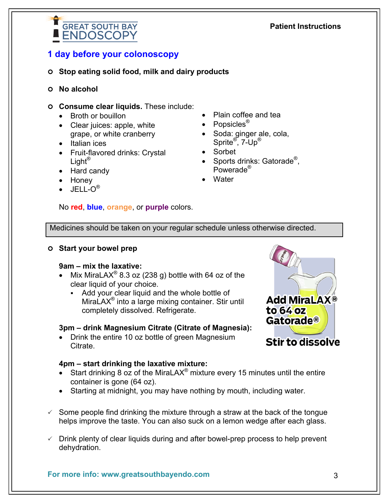#### $\checkmark$  Some people find drinking the mixture through a straw at the back of the tongue

helps improve the taste. You can also suck on a lemon wedge after each glass.

 $\checkmark$  Drink plenty of clear liquids during and after bowel-prep process to help prevent dehydration.

**For more info: www.greatsouthbayendo.com**

### **1 day before your colonoscopy**

**GREAT SOUTH BAY ENDOSCOPY** 

#### **Stop eating solid food, milk and dairy products**

- **No alcohol**
- **Consume clear liquids.** These include:
	- Broth or bouillon
	- Clear juices: apple, white grape, or white cranberry
	- Italian ices
	- Fruit-flavored drinks: Crystal Light<sup>®</sup>
	- Hard candy
	- Honey
	- $\bullet$  JELL-O $^\circ$

# Sprite<sup>®</sup>, 7-Up<sup>®</sup>

• Popsicles<sup>®</sup>

- Sorbet
- Sports drinks: Gatorade<sup>®</sup>, Powerade®

Plain coffee and tea

• Soda: ginger ale, cola,

Water

#### No **red**, **blue**, **orange**, or **purple** colors.

Medicines should be taken on your regular schedule unless otherwise directed.

#### **Start your bowel prep**

#### **9am – mix the laxative:**

- Mix MiraLAX<sup>®</sup> 8.3 oz (238 g) bottle with 64 oz of the clear liquid of your choice.
	- Add your clear liquid and the whole bottle of MiraLAX<sup>®</sup> into a large mixing container. Stir until completely dissolved. Refrigerate.

#### **3pm – drink Magnesium Citrate (Citrate of Magnesia):**

 Drink the entire 10 oz bottle of green Magnesium Citrate.

#### **4pm – start drinking the laxative mixture:**

- Start drinking 8  $\alpha$  of the MiraLAX<sup>®</sup> mixture every 15 minutes until the entire container is gone (64 oz).
- Starting at midnight, you may have nothing by mouth, including water.



3